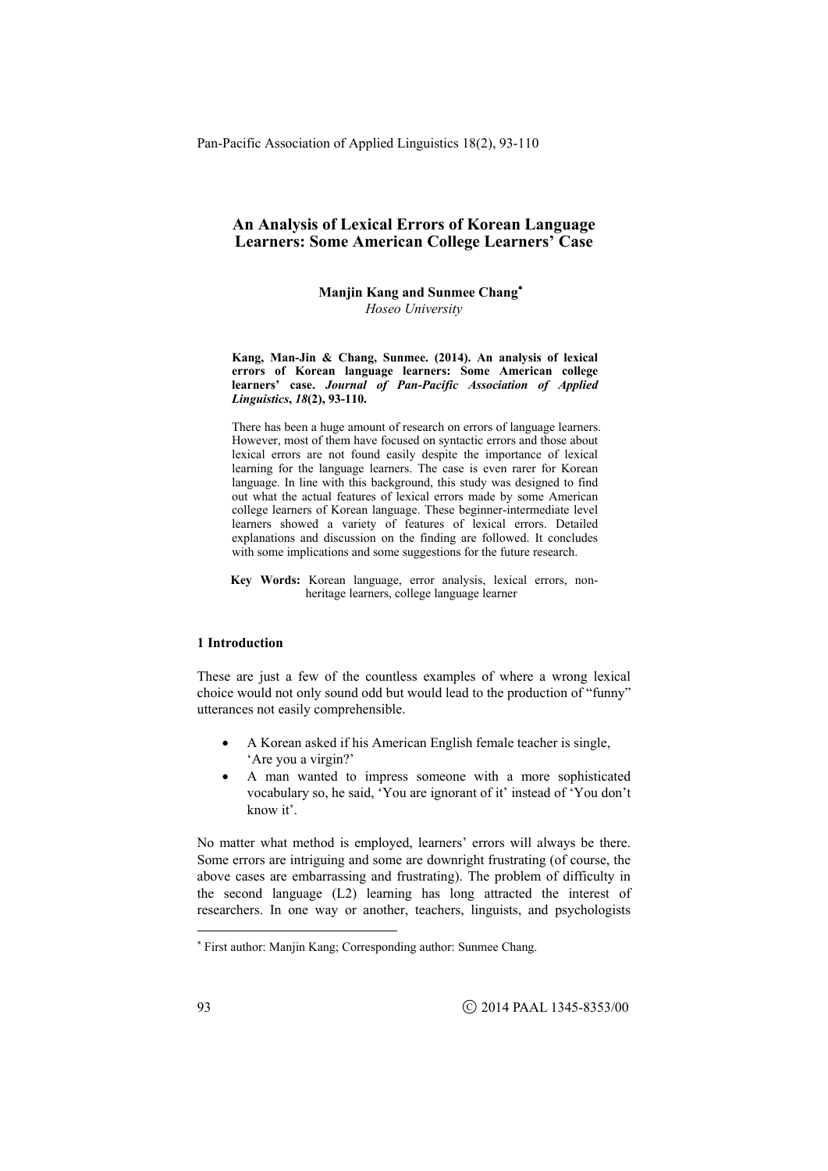**Manjin Kang and Sunmee Chang**  *Hoseo University* 

**Kang, Man-Jin & Chang, Sunmee. (2014). An analysis of lexical errors of Korean language learners: Some American college learners' case.** *Journal of Pan-Pacific Association of Applied Linguistics***,** *18***(2), 93-110.** 

There has been a huge amount of research on errors of language learners. However, most of them have focused on syntactic errors and those about lexical errors are not found easily despite the importance of lexical learning for the language learners. The case is even rarer for Korean language. In line with this background, this study was designed to find out what the actual features of lexical errors made by some American college learners of Korean language. These beginner-intermediate level learners showed a variety of features of lexical errors. Detailed explanations and discussion on the finding are followed. It concludes with some implications and some suggestions for the future research.

**Key Words:** Korean language, error analysis, lexical errors, nonheritage learners, college language learner

### **1 Introduction**

These are just a few of the countless examples of where a wrong lexical choice would not only sound odd but would lead to the production of "funny" utterances not easily comprehensible.

- A Korean asked if his American English female teacher is single, 'Are you a virgin?'
- A man wanted to impress someone with a more sophisticated vocabulary so, he said, 'You are ignorant of it' instead of 'You don't know it'.

No matter what method is employed, learners' errors will always be there. Some errors are intriguing and some are downright frustrating (of course, the above cases are embarrassing and frustrating). The problem of difficulty in the second language (L2) learning has long attracted the interest of researchers. In one way or another, teachers, linguists, and psychologists

1

 First author: Manjin Kang; Corresponding author: Sunmee Chang.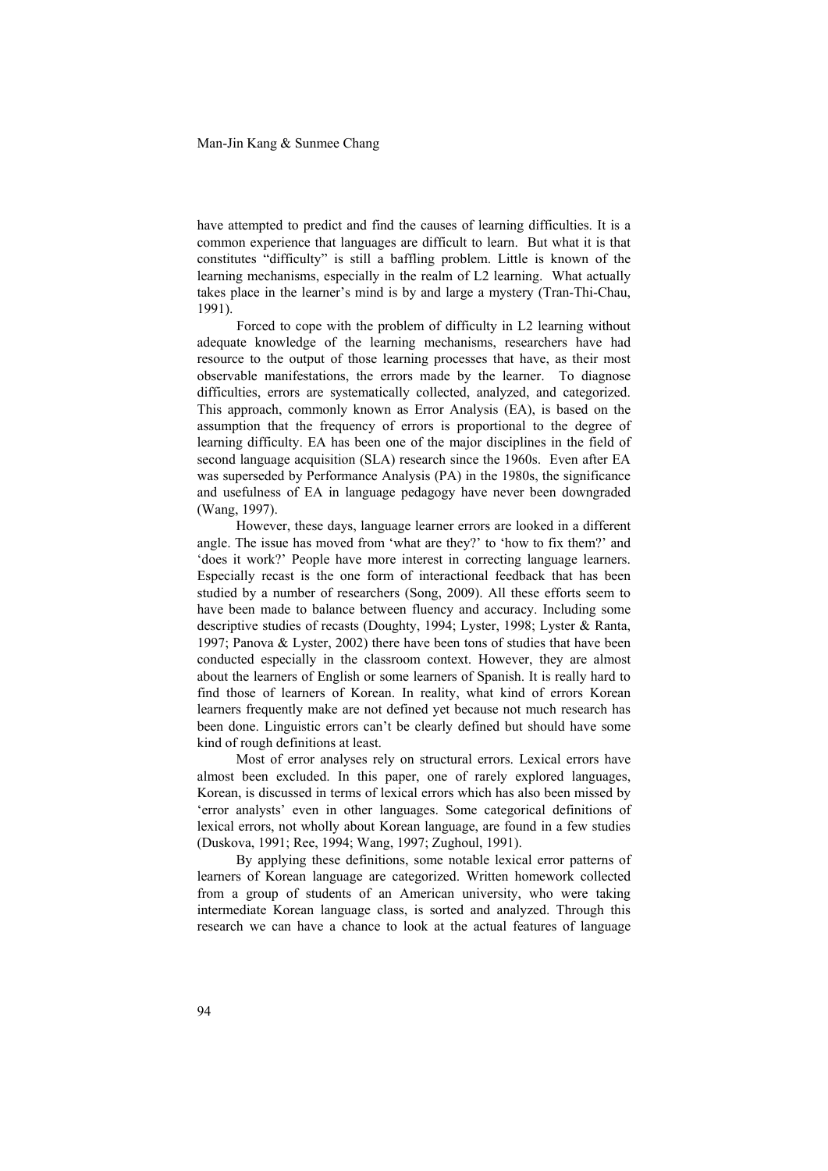have attempted to predict and find the causes of learning difficulties. It is a common experience that languages are difficult to learn. But what it is that constitutes "difficulty" is still a baffling problem. Little is known of the learning mechanisms, especially in the realm of L2 learning. What actually takes place in the learner's mind is by and large a mystery (Tran-Thi-Chau, 1991).

Forced to cope with the problem of difficulty in L2 learning without adequate knowledge of the learning mechanisms, researchers have had resource to the output of those learning processes that have, as their most observable manifestations, the errors made by the learner. To diagnose difficulties, errors are systematically collected, analyzed, and categorized. This approach, commonly known as Error Analysis (EA), is based on the assumption that the frequency of errors is proportional to the degree of learning difficulty. EA has been one of the major disciplines in the field of second language acquisition (SLA) research since the 1960s. Even after EA was superseded by Performance Analysis (PA) in the 1980s, the significance and usefulness of EA in language pedagogy have never been downgraded (Wang, 1997).

However, these days, language learner errors are looked in a different angle. The issue has moved from 'what are they?' to 'how to fix them?' and 'does it work?' People have more interest in correcting language learners. Especially recast is the one form of interactional feedback that has been studied by a number of researchers (Song, 2009). All these efforts seem to have been made to balance between fluency and accuracy. Including some descriptive studies of recasts (Doughty, 1994; Lyster, 1998; Lyster & Ranta, 1997; Panova & Lyster, 2002) there have been tons of studies that have been conducted especially in the classroom context. However, they are almost about the learners of English or some learners of Spanish. It is really hard to find those of learners of Korean. In reality, what kind of errors Korean learners frequently make are not defined yet because not much research has been done. Linguistic errors can't be clearly defined but should have some kind of rough definitions at least.

Most of error analyses rely on structural errors. Lexical errors have almost been excluded. In this paper, one of rarely explored languages, Korean, is discussed in terms of lexical errors which has also been missed by 'error analysts' even in other languages. Some categorical definitions of lexical errors, not wholly about Korean language, are found in a few studies (Duskova, 1991; Ree, 1994; Wang, 1997; Zughoul, 1991).

By applying these definitions, some notable lexical error patterns of learners of Korean language are categorized. Written homework collected from a group of students of an American university, who were taking intermediate Korean language class, is sorted and analyzed. Through this research we can have a chance to look at the actual features of language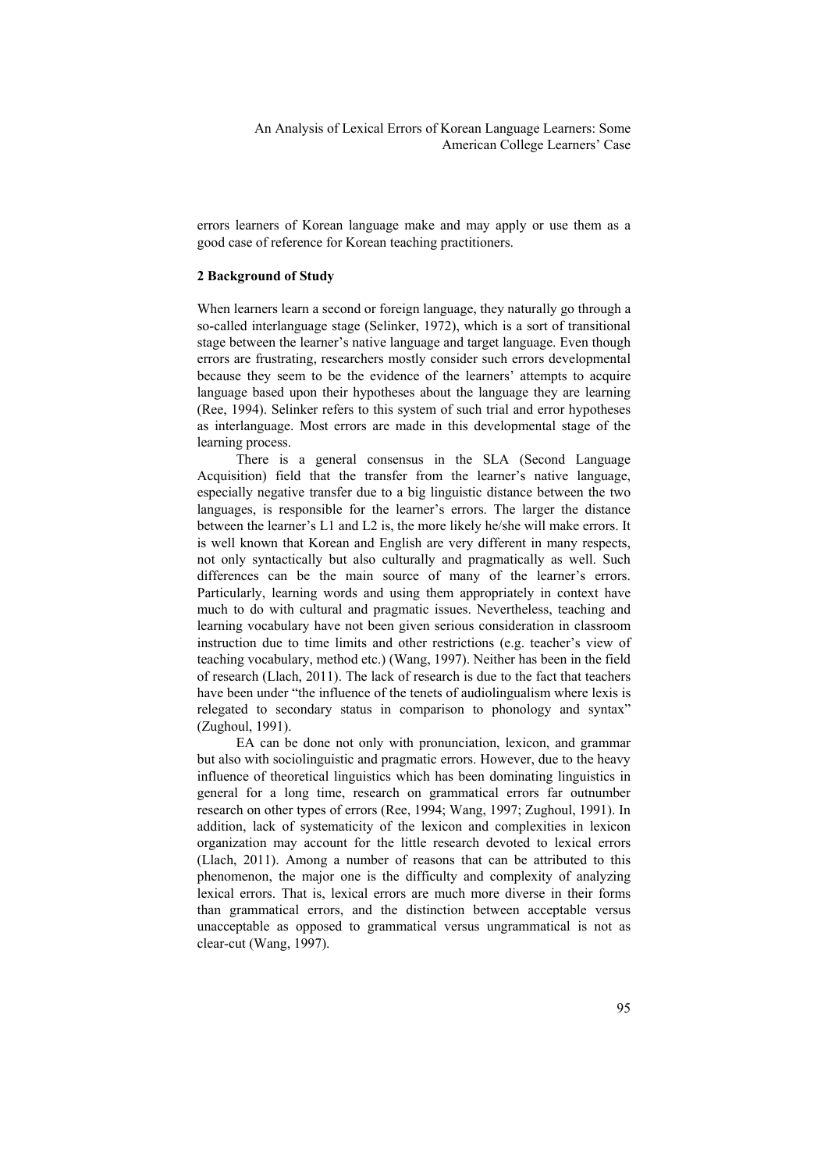errors learners of Korean language make and may apply or use them as a good case of reference for Korean teaching practitioners.

## **2 Background of Study**

When learners learn a second or foreign language, they naturally go through a so-called interlanguage stage (Selinker, 1972), which is a sort of transitional stage between the learner's native language and target language. Even though errors are frustrating, researchers mostly consider such errors developmental because they seem to be the evidence of the learners' attempts to acquire language based upon their hypotheses about the language they are learning (Ree, 1994). Selinker refers to this system of such trial and error hypotheses as interlanguage. Most errors are made in this developmental stage of the learning process.

There is a general consensus in the SLA (Second Language Acquisition) field that the transfer from the learner's native language, especially negative transfer due to a big linguistic distance between the two languages, is responsible for the learner's errors. The larger the distance between the learner's L1 and L2 is, the more likely he/she will make errors. It is well known that Korean and English are very different in many respects, not only syntactically but also culturally and pragmatically as well. Such differences can be the main source of many of the learner's errors. Particularly, learning words and using them appropriately in context have much to do with cultural and pragmatic issues. Nevertheless, teaching and learning vocabulary have not been given serious consideration in classroom instruction due to time limits and other restrictions (e.g. teacher's view of teaching vocabulary, method etc.) (Wang, 1997). Neither has been in the field of research (Llach, 2011). The lack of research is due to the fact that teachers have been under "the influence of the tenets of audiolingualism where lexis is relegated to secondary status in comparison to phonology and syntax" (Zughoul, 1991).

EA can be done not only with pronunciation, lexicon, and grammar but also with sociolinguistic and pragmatic errors. However, due to the heavy influence of theoretical linguistics which has been dominating linguistics in general for a long time, research on grammatical errors far outnumber research on other types of errors (Ree, 1994; Wang, 1997; Zughoul, 1991). In addition, lack of systematicity of the lexicon and complexities in lexicon organization may account for the little research devoted to lexical errors (Llach, 2011). Among a number of reasons that can be attributed to this phenomenon, the major one is the difficulty and complexity of analyzing lexical errors. That is, lexical errors are much more diverse in their forms than grammatical errors, and the distinction between acceptable versus unacceptable as opposed to grammatical versus ungrammatical is not as clear-cut (Wang, 1997).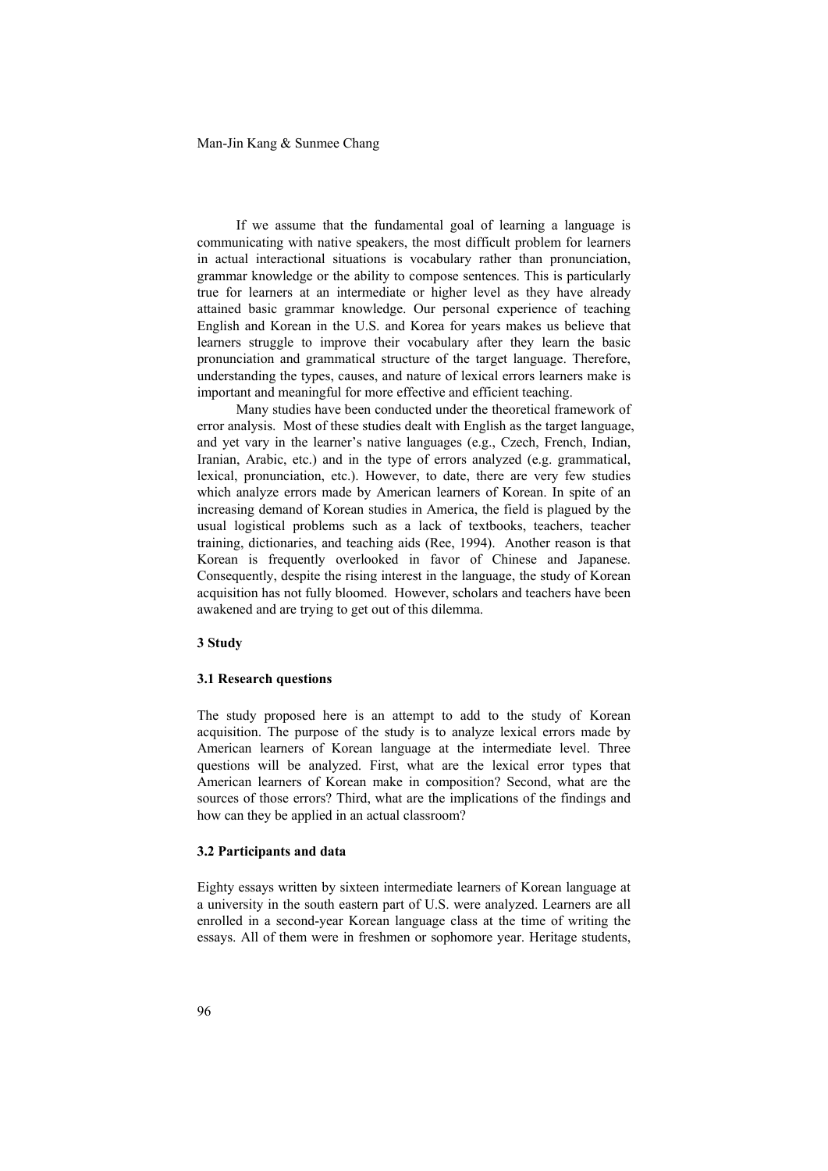Man-Jin Kang & Sunmee Chang

If we assume that the fundamental goal of learning a language is communicating with native speakers, the most difficult problem for learners in actual interactional situations is vocabulary rather than pronunciation, grammar knowledge or the ability to compose sentences. This is particularly true for learners at an intermediate or higher level as they have already attained basic grammar knowledge. Our personal experience of teaching English and Korean in the U.S. and Korea for years makes us believe that learners struggle to improve their vocabulary after they learn the basic pronunciation and grammatical structure of the target language. Therefore, understanding the types, causes, and nature of lexical errors learners make is important and meaningful for more effective and efficient teaching.

Many studies have been conducted under the theoretical framework of error analysis. Most of these studies dealt with English as the target language, and yet vary in the learner's native languages (e.g., Czech, French, Indian, Iranian, Arabic, etc.) and in the type of errors analyzed (e.g. grammatical, lexical, pronunciation, etc.). However, to date, there are very few studies which analyze errors made by American learners of Korean. In spite of an increasing demand of Korean studies in America, the field is plagued by the usual logistical problems such as a lack of textbooks, teachers, teacher training, dictionaries, and teaching aids (Ree, 1994). Another reason is that Korean is frequently overlooked in favor of Chinese and Japanese. Consequently, despite the rising interest in the language, the study of Korean acquisition has not fully bloomed. However, scholars and teachers have been awakened and are trying to get out of this dilemma.

#### **3 Study**

## **3.1 Research questions**

The study proposed here is an attempt to add to the study of Korean acquisition. The purpose of the study is to analyze lexical errors made by American learners of Korean language at the intermediate level. Three questions will be analyzed. First, what are the lexical error types that American learners of Korean make in composition? Second, what are the sources of those errors? Third, what are the implications of the findings and how can they be applied in an actual classroom?

## **3.2 Participants and data**

Eighty essays written by sixteen intermediate learners of Korean language at a university in the south eastern part of U.S. were analyzed. Learners are all enrolled in a second-year Korean language class at the time of writing the essays. All of them were in freshmen or sophomore year. Heritage students,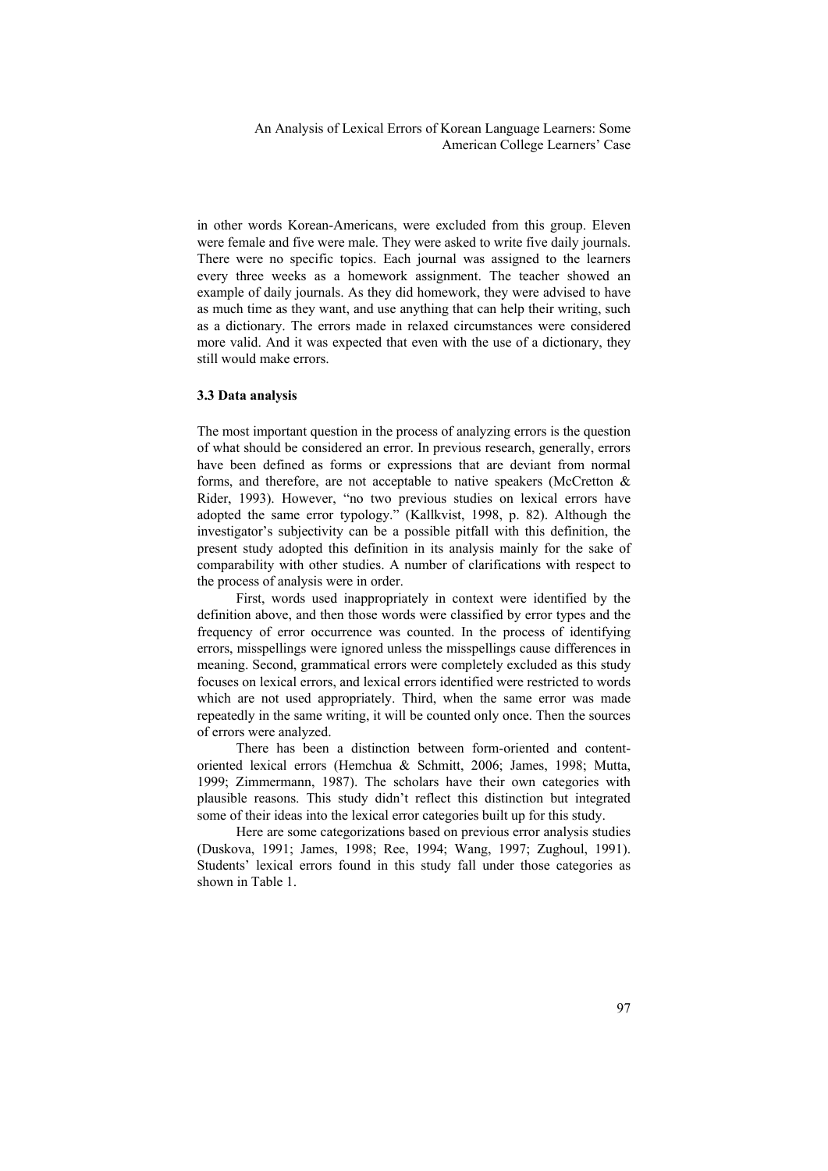in other words Korean-Americans, were excluded from this group. Eleven were female and five were male. They were asked to write five daily journals. There were no specific topics. Each journal was assigned to the learners every three weeks as a homework assignment. The teacher showed an example of daily journals. As they did homework, they were advised to have as much time as they want, and use anything that can help their writing, such as a dictionary. The errors made in relaxed circumstances were considered more valid. And it was expected that even with the use of a dictionary, they still would make errors.

#### **3.3 Data analysis**

The most important question in the process of analyzing errors is the question of what should be considered an error. In previous research, generally, errors have been defined as forms or expressions that are deviant from normal forms, and therefore, are not acceptable to native speakers (McCretton  $\&$ Rider, 1993). However, "no two previous studies on lexical errors have adopted the same error typology." (Kallkvist, 1998, p. 82). Although the investigator's subjectivity can be a possible pitfall with this definition, the present study adopted this definition in its analysis mainly for the sake of comparability with other studies. A number of clarifications with respect to the process of analysis were in order.

First, words used inappropriately in context were identified by the definition above, and then those words were classified by error types and the frequency of error occurrence was counted. In the process of identifying errors, misspellings were ignored unless the misspellings cause differences in meaning. Second, grammatical errors were completely excluded as this study focuses on lexical errors, and lexical errors identified were restricted to words which are not used appropriately. Third, when the same error was made repeatedly in the same writing, it will be counted only once. Then the sources of errors were analyzed.

There has been a distinction between form-oriented and contentoriented lexical errors (Hemchua & Schmitt, 2006; James, 1998; Mutta, 1999; Zimmermann, 1987). The scholars have their own categories with plausible reasons. This study didn't reflect this distinction but integrated some of their ideas into the lexical error categories built up for this study.

Here are some categorizations based on previous error analysis studies (Duskova, 1991; James, 1998; Ree, 1994; Wang, 1997; Zughoul, 1991). Students' lexical errors found in this study fall under those categories as shown in Table 1.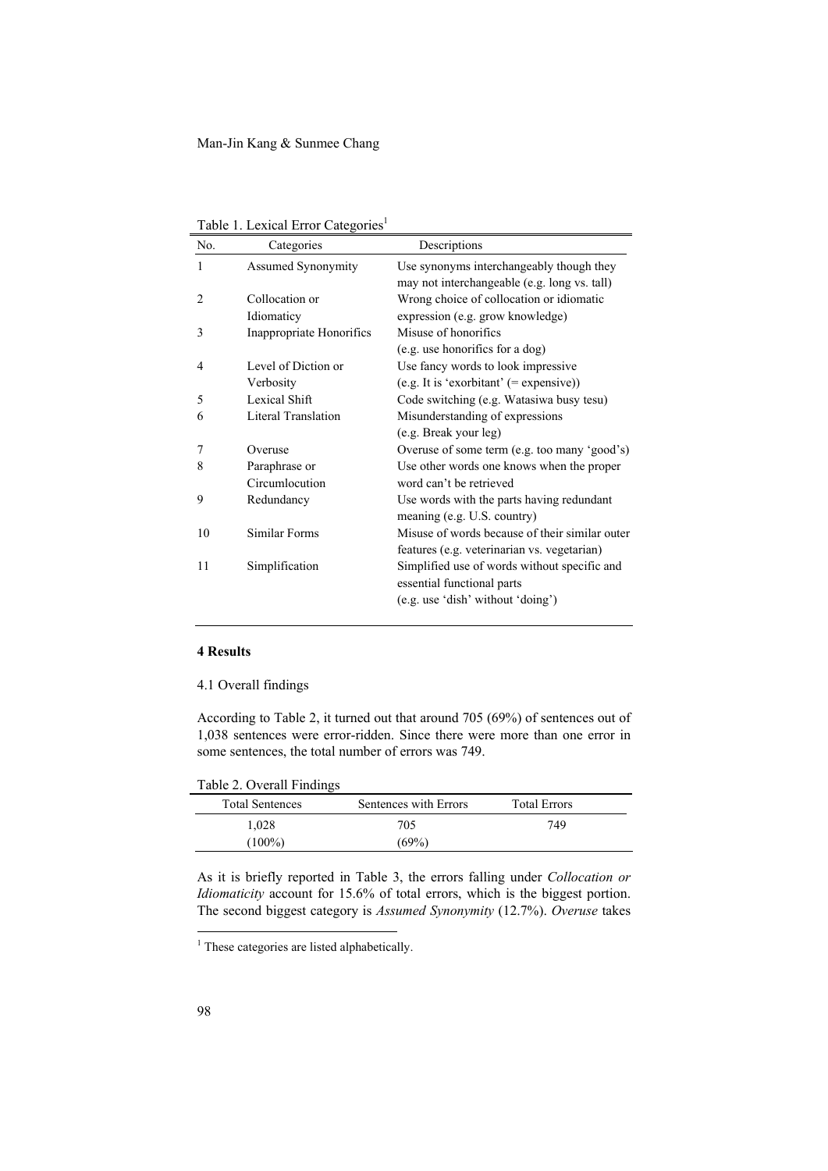| Table 1. Lexical Error Categories <sup>1</sup> |  |
|------------------------------------------------|--|
|------------------------------------------------|--|

| No. | Categories                             | Descriptions                                                                                                    |
|-----|----------------------------------------|-----------------------------------------------------------------------------------------------------------------|
| 1   | <b>Assumed Synonymity</b>              | Use synonyms interchangeably though they<br>may not interchangeable (e.g. long vs. tall)                        |
| 2   | Collocation or                         | Wrong choice of collocation or idiomatic                                                                        |
| 3   | Idiomaticy<br>Inappropriate Honorifics | expression (e.g. grow knowledge)<br>Misuse of honorifics                                                        |
|     |                                        | (e.g. use honorifics for a dog)                                                                                 |
| 4   | Level of Diction or<br>Verbosity       | Use fancy words to look impressive<br>$(e.g. It is 'exorbitant' (= expensive))$                                 |
| 5   | Lexical Shift                          | Code switching (e.g. Watasiwa busy tesu)                                                                        |
| 6   | Literal Translation                    | Misunderstanding of expressions<br>(e.g. Break your leg)                                                        |
| 7   | Overuse                                | Overuse of some term (e.g. too many 'good's)                                                                    |
| 8   | Paraphrase or<br>Circumlocution        | Use other words one knows when the proper<br>word can't be retrieved                                            |
| 9   | Redundancy                             | Use words with the parts having redundant<br>meaning (e.g. U.S. country)                                        |
| 10  | Similar Forms                          | Misuse of words because of their similar outer<br>features (e.g. veterinarian vs. vegetarian)                   |
| 11  | Simplification                         | Simplified use of words without specific and<br>essential functional parts<br>(e.g. use 'dish' without 'doing') |

## **4 Results**

4.1 Overall findings

According to Table 2, it turned out that around 705 (69%) of sentences out of 1,038 sentences were error-ridden. Since there were more than one error in some sentences, the total number of errors was 749.

Table 2. Overall Findings

| <b>Total Sentences</b> | Sentences with Errors | <b>Total Errors</b> |  |
|------------------------|-----------------------|---------------------|--|
| 1,028                  | 705                   | 749                 |  |
| $(100\%)$              | (69%)                 |                     |  |

As it is briefly reported in Table 3, the errors falling under *Collocation or Idiomaticity* account for 15.6% of total errors, which is the biggest portion. The second biggest category is *Assumed Synonymity* (12.7%). *Overuse* takes

<u>.</u>

<sup>&</sup>lt;sup>1</sup> These categories are listed alphabetically.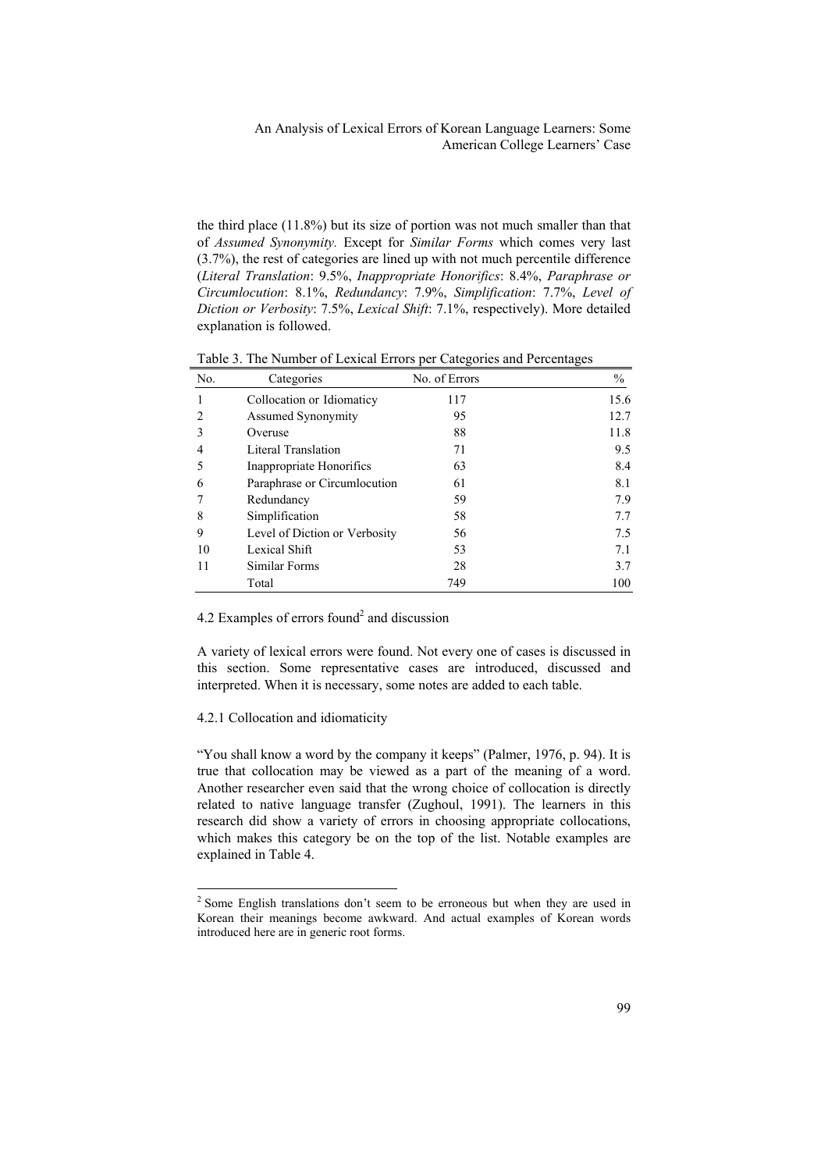the third place (11.8%) but its size of portion was not much smaller than that of *Assumed Synonymity.* Except for *Similar Forms* which comes very last (3.7%), the rest of categories are lined up with not much percentile difference (*Literal Translation*: 9.5%, *Inappropriate Honorifics*: 8.4%, *Paraphrase or Circumlocution*: 8.1%, *Redundancy*: 7.9%, *Simplification*: 7.7%, *Level of Diction or Verbosity*: 7.5%, *Lexical Shift*: 7.1%, respectively). More detailed explanation is followed.

| No.          | Categories                    | No. of Errors | $\frac{0}{0}$ |
|--------------|-------------------------------|---------------|---------------|
| $\mathbf{1}$ | Collocation or Idiomaticy     | 117           | 15.6          |
| 2            | Assumed Synonymity            | 95            | 12.7          |
| 3            | Overuse                       | 88            | 11.8          |
| 4            | Literal Translation           | 71            | 9.5           |
| 5            | Inappropriate Honorifics      | 63            | 8.4           |
| 6            | Paraphrase or Circumlocution  | 61            | 8.1           |
| 7            | Redundancy                    | 59            | 7.9           |
| 8            | Simplification                | 58            | 7.7           |
| 9            | Level of Diction or Verbosity | 56            | 7.5           |
| 10           | Lexical Shift                 | 53            | 7.1           |
| 11           | Similar Forms                 | 28            | 3.7           |
|              | Total                         | 749           | 100           |

Table 3. The Number of Lexical Errors per Categories and Percentages

4.2 Examples of errors found<sup>2</sup> and discussion

A variety of lexical errors were found. Not every one of cases is discussed in this section. Some representative cases are introduced, discussed and interpreted. When it is necessary, some notes are added to each table.

## 4.2.1 Collocation and idiomaticity

1

"You shall know a word by the company it keeps" (Palmer, 1976, p. 94). It is true that collocation may be viewed as a part of the meaning of a word. Another researcher even said that the wrong choice of collocation is directly related to native language transfer (Zughoul, 1991). The learners in this research did show a variety of errors in choosing appropriate collocations, which makes this category be on the top of the list. Notable examples are explained in Table 4.

 $2^2$  Some English translations don't seem to be erroneous but when they are used in Korean their meanings become awkward. And actual examples of Korean words introduced here are in generic root forms.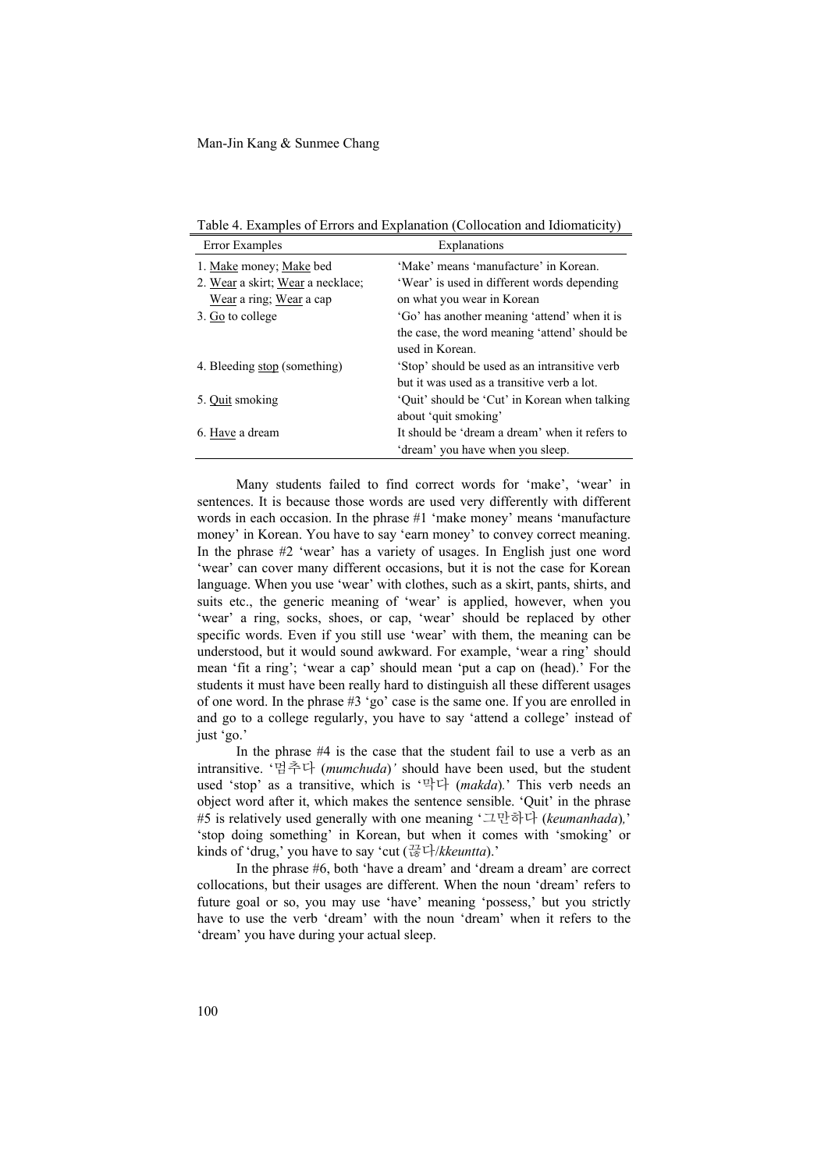Error Examples Explanations 1. Make money; Make bed 'Make' means 'manufacture' in Korean. 2. Wear a skirt; Wear a necklace; 'Wear' is used in different words depending Wear a ring; Wear a cap on what you wear in Korean 3. Go to college 'Go' has another meaning 'attend' when it is the case, the word meaning 'attend' should be used in Korean. 4. Bleeding stop (something) 'Stop' should be used as an intransitive verb but it was used as a transitive verb a lot. 5. Quit smoking 'Quit' should be 'Cut' in Korean when talking about 'quit smoking' 6. Have a dream It should be 'dream a dream' when it refers to 'dream' you have when you sleep.

Many students failed to find correct words for 'make', 'wear' in sentences. It is because those words are used very differently with different words in each occasion. In the phrase #1 'make money' means 'manufacture money' in Korean. You have to say 'earn money' to convey correct meaning. In the phrase #2 'wear' has a variety of usages. In English just one word 'wear' can cover many different occasions, but it is not the case for Korean language. When you use 'wear' with clothes, such as a skirt, pants, shirts, and suits etc., the generic meaning of 'wear' is applied, however, when you 'wear' a ring, socks, shoes, or cap, 'wear' should be replaced by other specific words. Even if you still use 'wear' with them, the meaning can be understood, but it would sound awkward. For example, 'wear a ring' should mean 'fit a ring'; 'wear a cap' should mean 'put a cap on (head).' For the students it must have been really hard to distinguish all these different usages of one word. In the phrase #3 'go' case is the same one. If you are enrolled in and go to a college regularly, you have to say 'attend a college' instead of just 'go.'

In the phrase #4 is the case that the student fail to use a verb as an intransitive. '멈추다 (*mumchuda*)*'* should have been used, but the student used 'stop' as a transitive, which is '막다 (*makda*)*.*' This verb needs an object word after it, which makes the sentence sensible. 'Quit' in the phrase #5 is relatively used generally with one meaning '그만하다 (*keumanhada*)*,*' 'stop doing something' in Korean, but when it comes with 'smoking' or kinds of 'drug,' you have to say 'cut  $(\frac{77}{16}\overline{\phantom{a}}\phantom{a})/kkeuntta)$ .'

In the phrase #6, both 'have a dream' and 'dream a dream' are correct collocations, but their usages are different. When the noun 'dream' refers to future goal or so, you may use 'have' meaning 'possess,' but you strictly have to use the verb 'dream' with the noun 'dream' when it refers to the 'dream' you have during your actual sleep.

Table 4. Examples of Errors and Explanation (Collocation and Idiomaticity)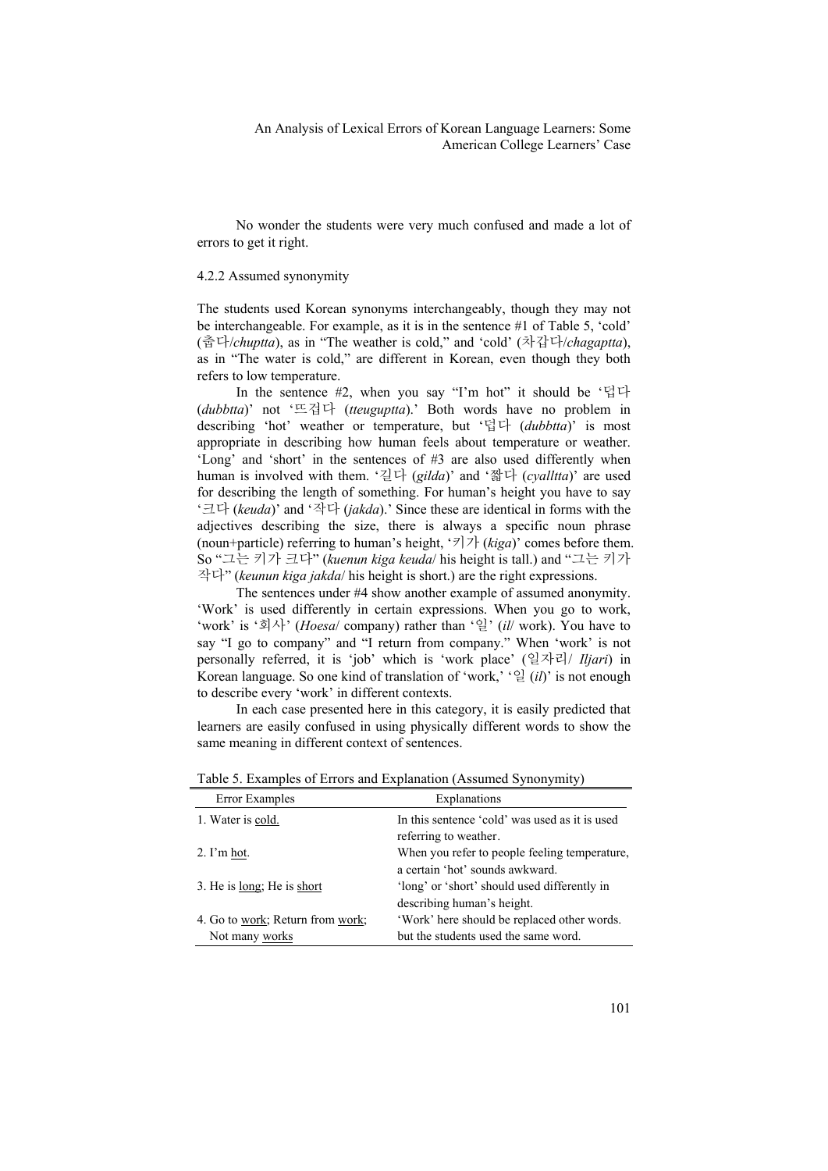No wonder the students were very much confused and made a lot of errors to get it right.

#### 4.2.2 Assumed synonymity

The students used Korean synonyms interchangeably, though they may not be interchangeable. For example, as it is in the sentence #1 of Table 5, 'cold' (춥다/*chuptta*), as in "The weather is cold," and 'cold' (차갑다/*chagaptta*), as in "The water is cold," are different in Korean, even though they both refers to low temperature.

In the sentence #2, when you say "I'm hot" it should be '덥다 (*dubbtta*)' not '뜨겁다 (*tteuguptta*).' Both words have no problem in describing 'hot' weather or temperature, but '덥다 (*dubbtta*)' is most appropriate in describing how human feels about temperature or weather. 'Long' and 'short' in the sentences of #3 are also used differently when human is involved with them. '길다 (*gilda*)' and '짧다 (*cyalltta*)' are used for describing the length of something. For human's height you have to say '크다 (*keuda*)' and '작다 (*jakda*).' Since these are identical in forms with the adjectives describing the size, there is always a specific noun phrase (noun+particle) referring to human's height, '키가 (*kiga*)' comes before them. So "그는 키가 크다" (*kuenun kiga keuda*/ his height is tall.) and "그는 키가 작다" (*keunun kiga jakda*/ his height is short.) are the right expressions.

The sentences under #4 show another example of assumed anonymity. 'Work' is used differently in certain expressions. When you go to work, 'work' is '회사' (*Hoesa*/ company) rather than '일' (*il*/ work). You have to say "I go to company" and "I return from company." When 'work' is not personally referred, it is 'job' which is 'work place' (일자리/ *Iljari*) in Korean language. So one kind of translation of 'work,' '일 (*il*)' is not enough to describe every 'work' in different contexts.

In each case presented here in this category, it is easily predicted that learners are easily confused in using physically different words to show the same meaning in different context of sentences.

| Error Examples                     | Explanations                                                                     |
|------------------------------------|----------------------------------------------------------------------------------|
| 1. Water is cold.                  | In this sentence 'cold' was used as it is used<br>referring to weather.          |
| $2. \Gamma m$ hot.                 | When you refer to people feeling temperature,<br>a certain 'hot' sounds awkward. |
| 3. He is <u>long</u> ; He is short | 'long' or 'short' should used differently in<br>describing human's height.       |
| 4. Go to work; Return from work;   | 'Work' here should be replaced other words.                                      |
| Not many works                     | but the students used the same word.                                             |

Table 5. Examples of Errors and Explanation (Assumed Synonymity)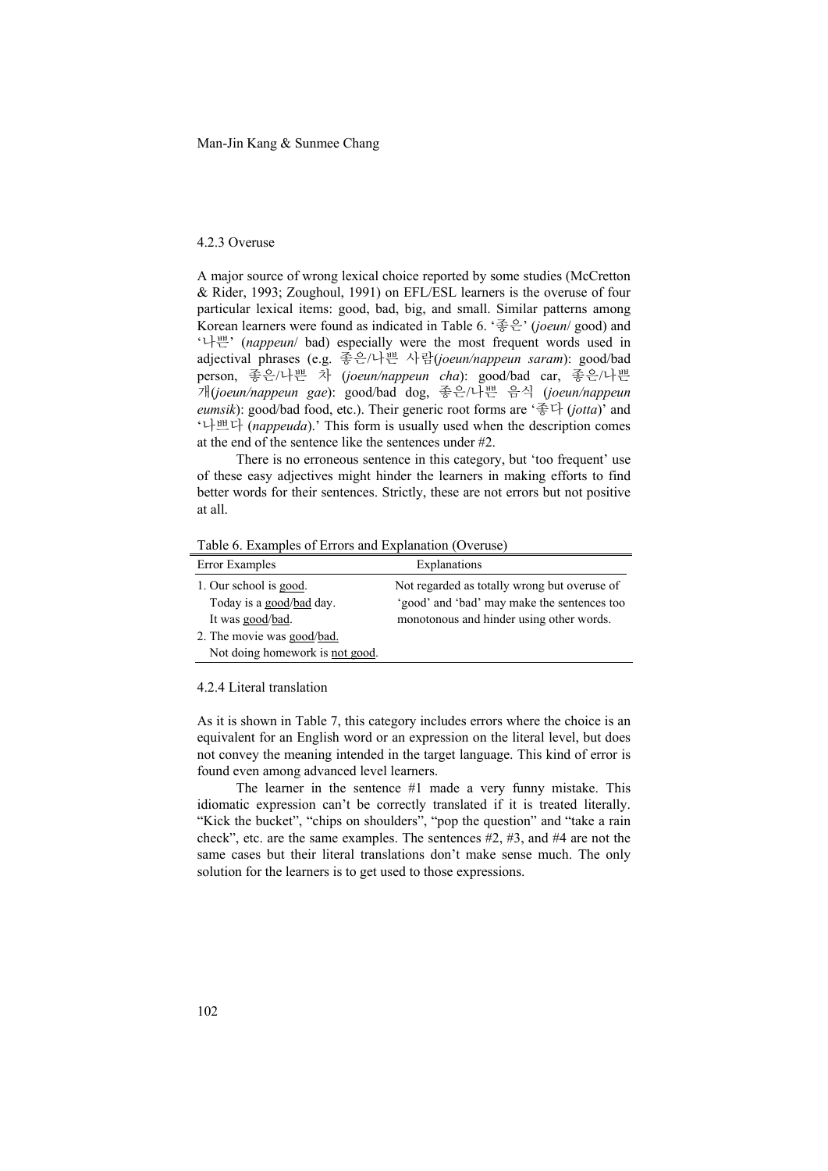Man-Jin Kang & Sunmee Chang

#### 4.2.3 Overuse

A major source of wrong lexical choice reported by some studies (McCretton & Rider, 1993; Zoughoul, 1991) on EFL/ESL learners is the overuse of four particular lexical items: good, bad, big, and small. Similar patterns among Korean learners were found as indicated in Table 6. '좋은' (*joeun*/ good) and '나쁜' (*nappeun*/ bad) especially were the most frequent words used in adjectival phrases (e.g. 좋은/나쁜 사람(*joeun/nappeun saram*): good/bad person, 좋은/나쁜 차 (*joeun/nappeun cha*): good/bad car, 좋은/나쁜 개(*joeun/nappeun gae*): good/bad dog, 좋은/나쁜 음식 (*joeun/nappeun eumsik*): good/bad food, etc.). Their generic root forms are '좋다 (*jotta*)' and '나쁘다 (*nappeuda*).' This form is usually used when the description comes at the end of the sentence like the sentences under #2.

There is no erroneous sentence in this category, but 'too frequent' use of these easy adjectives might hinder the learners in making efforts to find better words for their sentences. Strictly, these are not errors but not positive at all.

Table 6. Examples of Errors and Explanation (Overuse)

| Error Examples                  | Explanations                                 |
|---------------------------------|----------------------------------------------|
| 1. Our school is good.          | Not regarded as totally wrong but overuse of |
| Today is a good/bad day.        | 'good' and 'bad' may make the sentences too  |
| It was good/bad.                | monotonous and hinder using other words.     |
| 2. The movie was good/bad.      |                                              |
| Not doing homework is not good. |                                              |

## 4.2.4 Literal translation

As it is shown in Table 7, this category includes errors where the choice is an equivalent for an English word or an expression on the literal level, but does not convey the meaning intended in the target language. This kind of error is found even among advanced level learners.

The learner in the sentence #1 made a very funny mistake. This idiomatic expression can't be correctly translated if it is treated literally. "Kick the bucket", "chips on shoulders", "pop the question" and "take a rain check", etc. are the same examples. The sentences #2, #3, and #4 are not the same cases but their literal translations don't make sense much. The only solution for the learners is to get used to those expressions.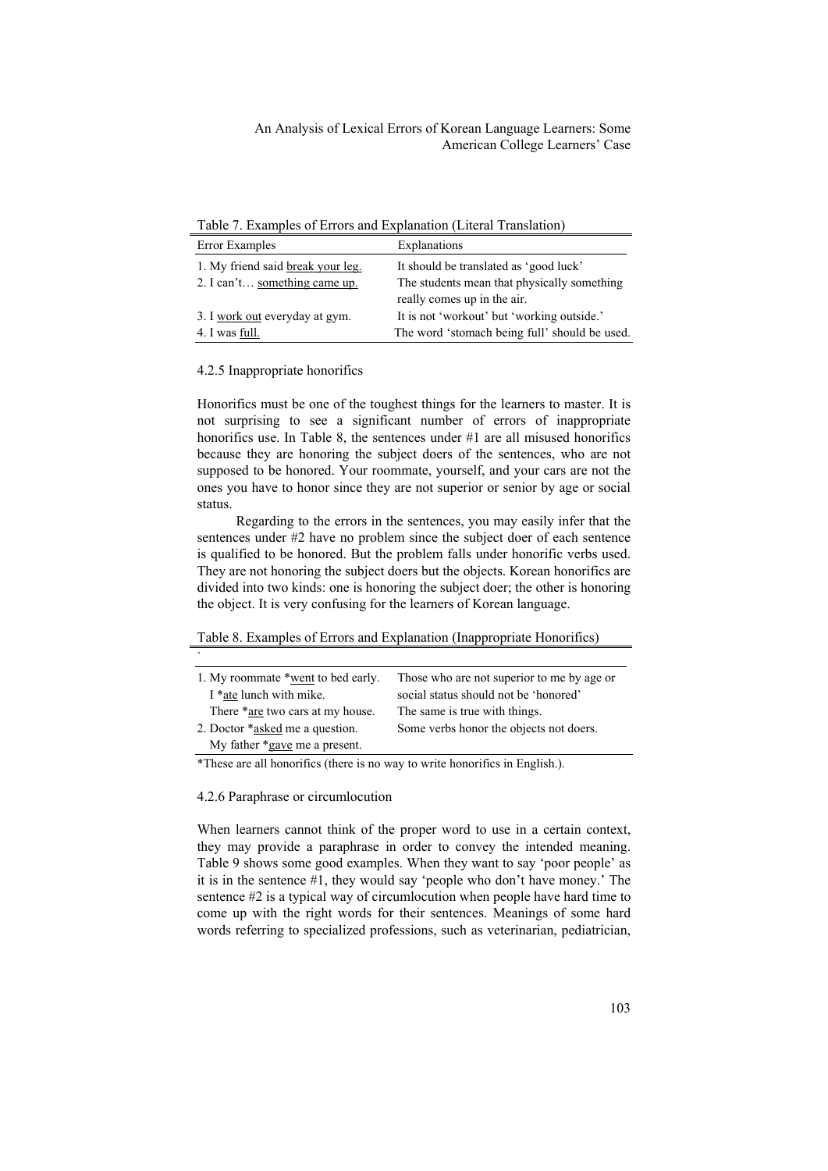Table 7. Examples of Errors and Explanation (Literal Translation)

| Error Examples                    | Explanations                                  |
|-----------------------------------|-----------------------------------------------|
| 1. My friend said break your leg. | It should be translated as 'good luck'        |
| 2. I can't something came up.     | The students mean that physically something   |
|                                   | really comes up in the air.                   |
| 3. I work out everyday at gym.    | It is not 'workout' but 'working outside.'    |
| 4. I was full.                    | The word 'stomach being full' should be used. |

4.2.5 Inappropriate honorifics

Honorifics must be one of the toughest things for the learners to master. It is not surprising to see a significant number of errors of inappropriate honorifics use. In Table 8, the sentences under #1 are all misused honorifics because they are honoring the subject doers of the sentences, who are not supposed to be honored. Your roommate, yourself, and your cars are not the ones you have to honor since they are not superior or senior by age or social status.

Regarding to the errors in the sentences, you may easily infer that the sentences under #2 have no problem since the subject doer of each sentence is qualified to be honored. But the problem falls under honorific verbs used. They are not honoring the subject doers but the objects. Korean honorifics are divided into two kinds: one is honoring the subject doer; the other is honoring the object. It is very confusing for the learners of Korean language.

Table 8. Examples of Errors and Explanation (Inappropriate Honorifics)

| $\overline{\phantom{a}}$                                                     |                                            |
|------------------------------------------------------------------------------|--------------------------------------------|
| 1. My roommate *went to bed early.                                           | Those who are not superior to me by age or |
| I *ate lunch with mike.                                                      | social status should not be 'honored'      |
| There *are two cars at my house.                                             | The same is true with things.              |
| 2. Doctor *asked me a question.                                              | Some verbs honor the objects not doers.    |
| My father *gave me a present.                                                |                                            |
| *These are all honorifics (there is no way to write honorifics in English.). |                                            |

4.2.6 Paraphrase or circumlocution

When learners cannot think of the proper word to use in a certain context, they may provide a paraphrase in order to convey the intended meaning. Table 9 shows some good examples. When they want to say 'poor people' as it is in the sentence #1, they would say 'people who don't have money.' The sentence #2 is a typical way of circumlocution when people have hard time to come up with the right words for their sentences. Meanings of some hard words referring to specialized professions, such as veterinarian, pediatrician,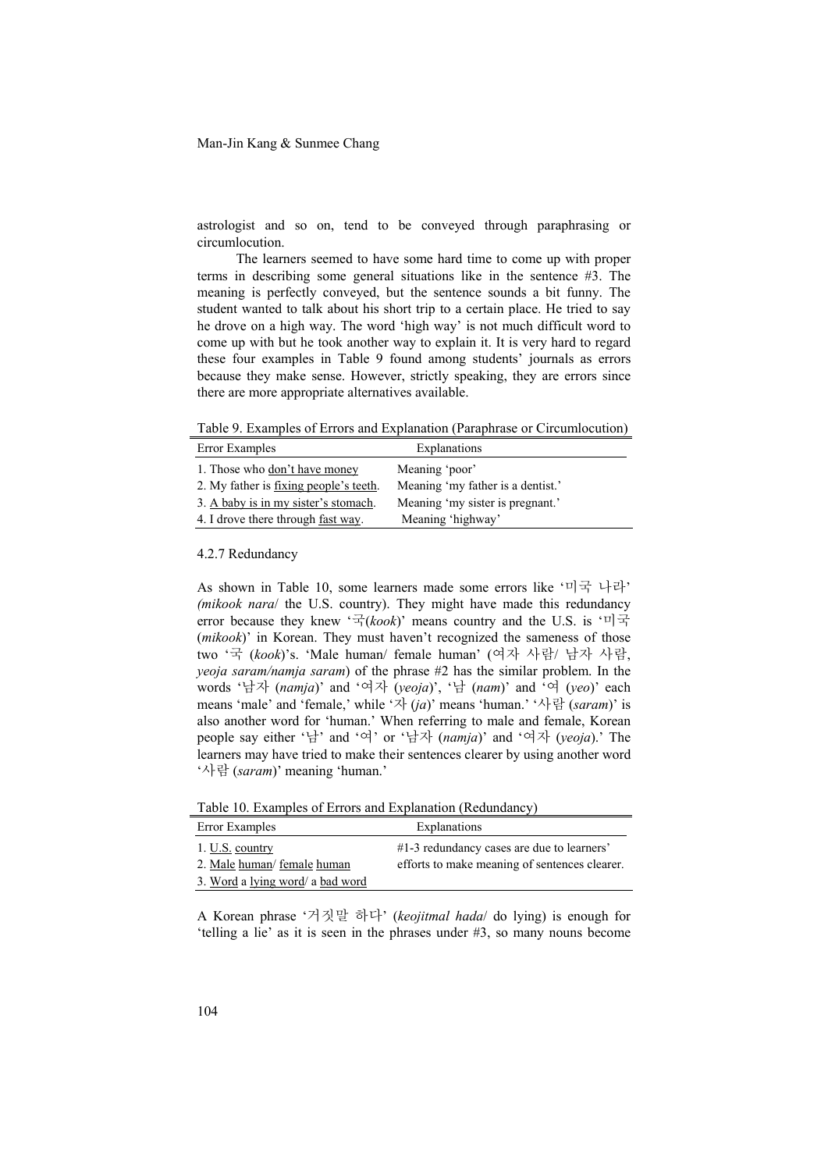astrologist and so on, tend to be conveyed through paraphrasing or circumlocution.

The learners seemed to have some hard time to come up with proper terms in describing some general situations like in the sentence #3. The meaning is perfectly conveyed, but the sentence sounds a bit funny. The student wanted to talk about his short trip to a certain place. He tried to say he drove on a high way. The word 'high way' is not much difficult word to come up with but he took another way to explain it. It is very hard to regard these four examples in Table 9 found among students' journals as errors because they make sense. However, strictly speaking, they are errors since there are more appropriate alternatives available.

Table 9. Examples of Errors and Explanation (Paraphrase or Circumlocution)

| Error Examples                                 | Explanations                      |
|------------------------------------------------|-----------------------------------|
| 1. Those who don't have money                  | Meaning 'poor'                    |
| 2. My father is <u>fixing people's teeth</u> . | Meaning 'my father is a dentist.' |
| 3. A baby is in my sister's stomach.           | Meaning 'my sister is pregnant.'  |
| 4. I drove there through fast way.             | Meaning 'highway'                 |

4.2.7 Redundancy

As shown in Table 10, some learners made some errors like '미국 나라' *(mikook nara*/ the U.S. country). They might have made this redundancy error because they knew '국(*kook*)' means country and the U.S. is '미국 (*mikook*)' in Korean. They must haven't recognized the sameness of those two '국 (*kook*)'s. 'Male human/ female human' (여자 사람/ 남자 사람, *yeoja saram/namja saram*) of the phrase #2 has the similar problem. In the words '남자 (*namja*)' and '여자 (*yeoja*)', '남 (*nam*)' and '여 (*yeo*)' each means 'male' and 'female,' while '자 (*ja*)' means 'human.' '사람 (*saram*)' is also another word for 'human.' When referring to male and female, Korean people say either '남' and '여' or '남자 (*namja*)' and '여자 (*yeoja*).' The learners may have tried to make their sentences clearer by using another word '사람 (*saram*)' meaning 'human.'

Table 10. Examples of Errors and Explanation (Redundancy)

| Error Examples                   | Explanations                                  |
|----------------------------------|-----------------------------------------------|
| 1. U.S. country                  | $#1-3$ redundancy cases are due to learners'  |
| 2. Male human/ female human      | efforts to make meaning of sentences clearer. |
| 3. Word a lying word/ a bad word |                                               |

A Korean phrase '거짓말 하다' (*keojitmal hada*/ do lying) is enough for 'telling a lie' as it is seen in the phrases under #3, so many nouns become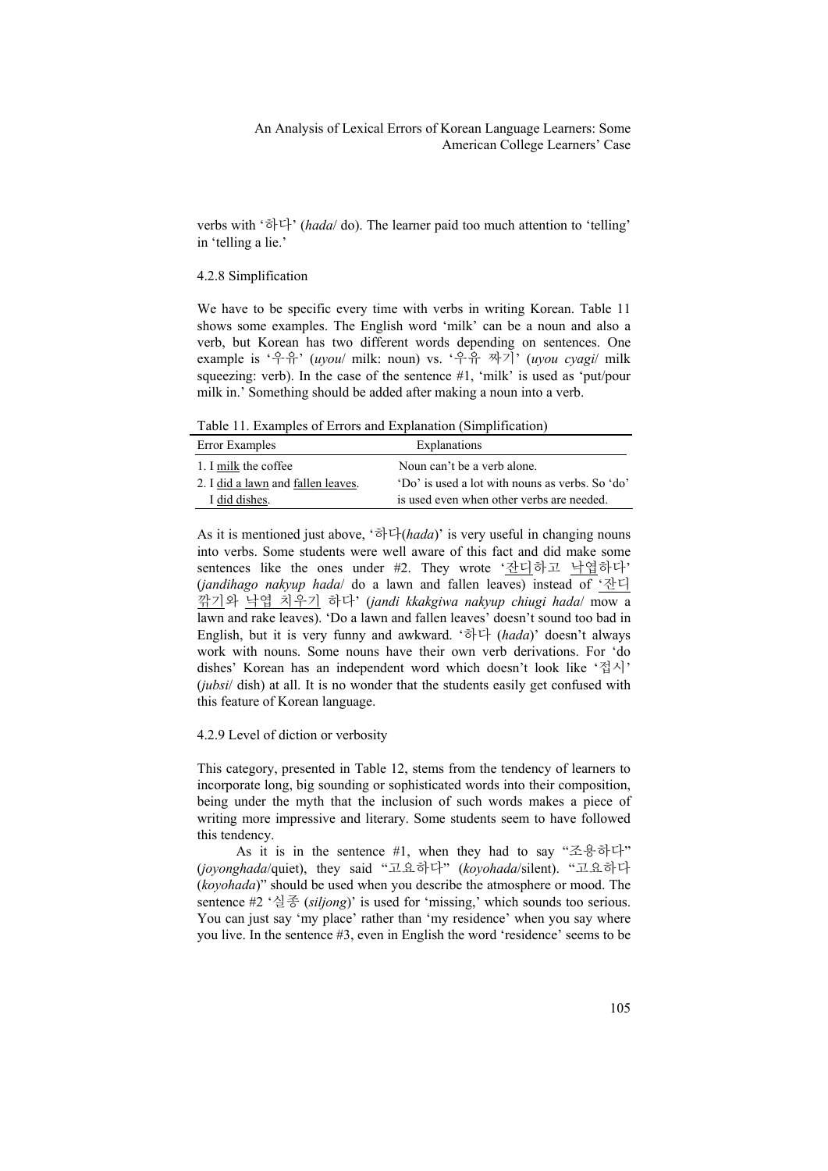verbs with '하다' (*hada*/ do). The learner paid too much attention to 'telling' in 'telling a lie.'

#### 4.2.8 Simplification

We have to be specific every time with verbs in writing Korean. Table 11 shows some examples. The English word 'milk' can be a noun and also a verb, but Korean has two different words depending on sentences. One example is '우유' (*uyou*/ milk: noun) vs. '우유 짜기' (*uyou cyagi*/ milk squeezing: verb). In the case of the sentence #1, 'milk' is used as 'put/pour milk in.' Something should be added after making a noun into a verb.

Table 11. Examples of Errors and Explanation (Simplification)

| Error Examples                     | Explanations                                    |
|------------------------------------|-------------------------------------------------|
| 1. I milk the coffee               | Noun can't be a verb alone.                     |
| 2. I did a lawn and fallen leaves. | 'Do' is used a lot with nouns as verbs. So 'do' |
| I did dishes.                      | is used even when other verbs are needed.       |

As it is mentioned just above, '하다(*hada*)' is very useful in changing nouns into verbs. Some students were well aware of this fact and did make some sentences like the ones under #2. They wrote '잔디하고 낙엽하다' (*jandihago nakyup hada*/ do a lawn and fallen leaves) instead of '잔디 깎기와 낙엽 치우기 하다' (*jandi kkakgiwa nakyup chiugi hada*/ mow a lawn and rake leaves). 'Do a lawn and fallen leaves' doesn't sound too bad in English, but it is very funny and awkward. '하다 (*hada*)' doesn't always work with nouns. Some nouns have their own verb derivations. For 'do dishes' Korean has an independent word which doesn't look like '접시' (*jubsi*/ dish) at all. It is no wonder that the students easily get confused with this feature of Korean language.

## 4.2.9 Level of diction or verbosity

This category, presented in Table 12, stems from the tendency of learners to incorporate long, big sounding or sophisticated words into their composition, being under the myth that the inclusion of such words makes a piece of writing more impressive and literary. Some students seem to have followed this tendency.

As it is in the sentence #1, when they had to say "조용하다" (*joyonghada*/quiet), they said "고요하다" (*koyohada*/silent). "고요하다 (*koyohada*)" should be used when you describe the atmosphere or mood. The sentence #2 '실종 (*siljong*)' is used for 'missing,' which sounds too serious. You can just say 'my place' rather than 'my residence' when you say where you live. In the sentence #3, even in English the word 'residence' seems to be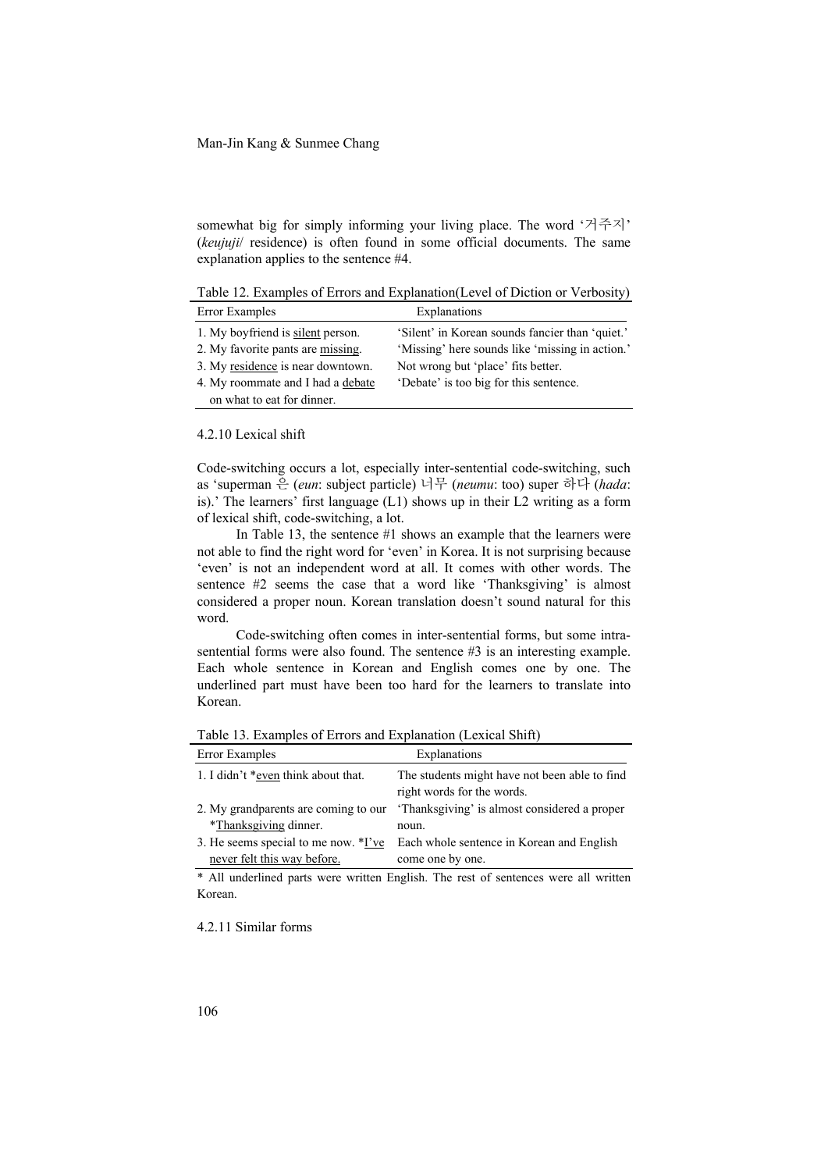somewhat big for simply informing your living place. The word '거주지' (*keujuji*/ residence) is often found in some official documents. The same explanation applies to the sentence #4.

Table 12. Examples of Errors and Explanation(Level of Diction or Verbosity) Error Examples Explanations

| ELIOI EXAMPLES                    | <b>Explairations</b>                            |
|-----------------------------------|-------------------------------------------------|
| 1. My boyfriend is silent person. | 'Silent' in Korean sounds fancier than 'quiet.' |
| 2. My favorite pants are missing. | 'Missing' here sounds like 'missing in action.' |
| 3. My residence is near downtown. | Not wrong but 'place' fits better.              |
| 4. My roommate and I had a debate | 'Debate' is too big for this sentence.          |
| on what to eat for dinner.        |                                                 |

#### 4.2.10 Lexical shift

Code-switching occurs a lot, especially inter-sentential code-switching, such as 'superman 은 (*eun*: subject particle) 너무 (*neumu*: too) super 하다 (*hada*: is).' The learners' first language (L1) shows up in their L2 writing as a form of lexical shift, code-switching, a lot.

In Table 13, the sentence #1 shows an example that the learners were not able to find the right word for 'even' in Korea. It is not surprising because 'even' is not an independent word at all. It comes with other words. The sentence #2 seems the case that a word like 'Thanksgiving' is almost considered a proper noun. Korean translation doesn't sound natural for this word.

Code-switching often comes in inter-sentential forms, but some intrasentential forms were also found. The sentence #3 is an interesting example. Each whole sentence in Korean and English comes one by one. The underlined part must have been too hard for the learners to translate into Korean.

Table 13. Examples of Errors and Explanation (Lexical Shift)

| Error Examples                       | Explanations                                                                |
|--------------------------------------|-----------------------------------------------------------------------------|
| 1. I didn't *even think about that.  | The students might have not been able to find<br>right words for the words. |
| 2. My grandparents are coming to our | 'Thanksgiving' is almost considered a proper                                |
| *Thanksgiving dinner.                | noun.                                                                       |
| 3. He seems special to me now. *I've | Each whole sentence in Korean and English                                   |
| never felt this way before.          | come one by one.                                                            |

\* All underlined parts were written English. The rest of sentences were all written Korean.

4.2.11 Similar forms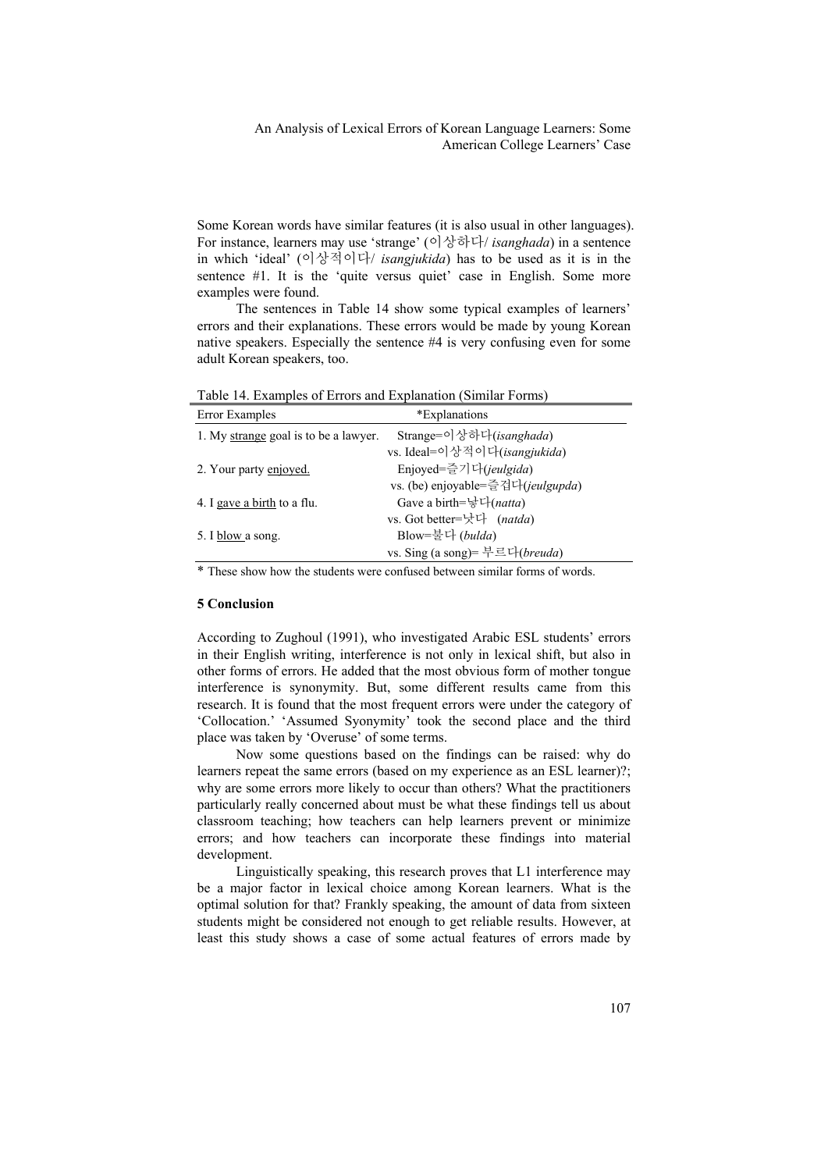Some Korean words have similar features (it is also usual in other languages). For instance, learners may use 'strange' (이상하다/ *isanghada*) in a sentence in which 'ideal' (이상적이다/ *isangjukida*) has to be used as it is in the sentence #1. It is the 'quite versus quiet' case in English. Some more examples were found.

The sentences in Table 14 show some typical examples of learners' errors and their explanations. These errors would be made by young Korean native speakers. Especially the sentence #4 is very confusing even for some adult Korean speakers, too.

Table 14. Examples of Errors and Explanation (Similar Forms)

| Error Examples                        | *Explanations                           |
|---------------------------------------|-----------------------------------------|
| 1. My strange goal is to be a lawyer. | Strange=이상하다( <i>isanghada</i> )        |
|                                       | vs. Ideal=이상적이다(isangjukida)            |
| 2. Your party enjoyed.                | Enjoyed=즐기다(jeulgida)                   |
|                                       | vs. (be) enjoyable=즐겁다(jeulgupda)       |
| 4. I gave a birth to a flu.           | Gave a birth=' 다(natta)                 |
|                                       | vs. Got better=낫다 (natda)               |
| 5. I blow a song.                     | Blow=불다 (bulda)                         |
|                                       | vs. Sing (a song)= 부르다( <i>breuda</i> ) |

\* These show how the students were confused between similar forms of words.

#### **5 Conclusion**

According to Zughoul (1991), who investigated Arabic ESL students' errors in their English writing, interference is not only in lexical shift, but also in other forms of errors. He added that the most obvious form of mother tongue interference is synonymity. But, some different results came from this research. It is found that the most frequent errors were under the category of 'Collocation.' 'Assumed Syonymity' took the second place and the third place was taken by 'Overuse' of some terms.

Now some questions based on the findings can be raised: why do learners repeat the same errors (based on my experience as an ESL learner)?; why are some errors more likely to occur than others? What the practitioners particularly really concerned about must be what these findings tell us about classroom teaching; how teachers can help learners prevent or minimize errors; and how teachers can incorporate these findings into material development.

Linguistically speaking, this research proves that L1 interference may be a major factor in lexical choice among Korean learners. What is the optimal solution for that? Frankly speaking, the amount of data from sixteen students might be considered not enough to get reliable results. However, at least this study shows a case of some actual features of errors made by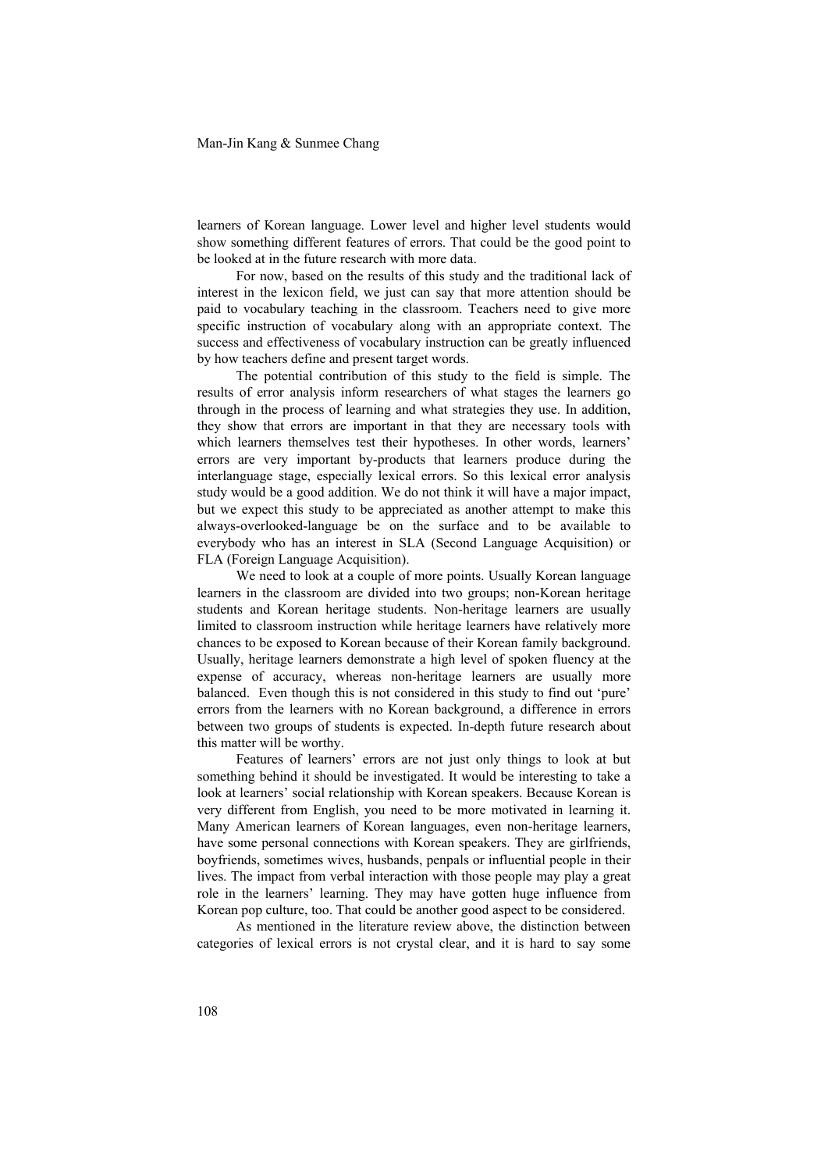Man-Jin Kang & Sunmee Chang

learners of Korean language. Lower level and higher level students would show something different features of errors. That could be the good point to be looked at in the future research with more data.

For now, based on the results of this study and the traditional lack of interest in the lexicon field, we just can say that more attention should be paid to vocabulary teaching in the classroom. Teachers need to give more specific instruction of vocabulary along with an appropriate context. The success and effectiveness of vocabulary instruction can be greatly influenced by how teachers define and present target words.

The potential contribution of this study to the field is simple. The results of error analysis inform researchers of what stages the learners go through in the process of learning and what strategies they use. In addition, they show that errors are important in that they are necessary tools with which learners themselves test their hypotheses. In other words, learners' errors are very important by-products that learners produce during the interlanguage stage, especially lexical errors. So this lexical error analysis study would be a good addition. We do not think it will have a major impact, but we expect this study to be appreciated as another attempt to make this always-overlooked-language be on the surface and to be available to everybody who has an interest in SLA (Second Language Acquisition) or FLA (Foreign Language Acquisition).

We need to look at a couple of more points. Usually Korean language learners in the classroom are divided into two groups; non-Korean heritage students and Korean heritage students. Non-heritage learners are usually limited to classroom instruction while heritage learners have relatively more chances to be exposed to Korean because of their Korean family background. Usually, heritage learners demonstrate a high level of spoken fluency at the expense of accuracy, whereas non-heritage learners are usually more balanced. Even though this is not considered in this study to find out 'pure' errors from the learners with no Korean background, a difference in errors between two groups of students is expected. In-depth future research about this matter will be worthy.

Features of learners' errors are not just only things to look at but something behind it should be investigated. It would be interesting to take a look at learners' social relationship with Korean speakers. Because Korean is very different from English, you need to be more motivated in learning it. Many American learners of Korean languages, even non-heritage learners, have some personal connections with Korean speakers. They are girlfriends, boyfriends, sometimes wives, husbands, penpals or influential people in their lives. The impact from verbal interaction with those people may play a great role in the learners' learning. They may have gotten huge influence from Korean pop culture, too. That could be another good aspect to be considered.

As mentioned in the literature review above, the distinction between categories of lexical errors is not crystal clear, and it is hard to say some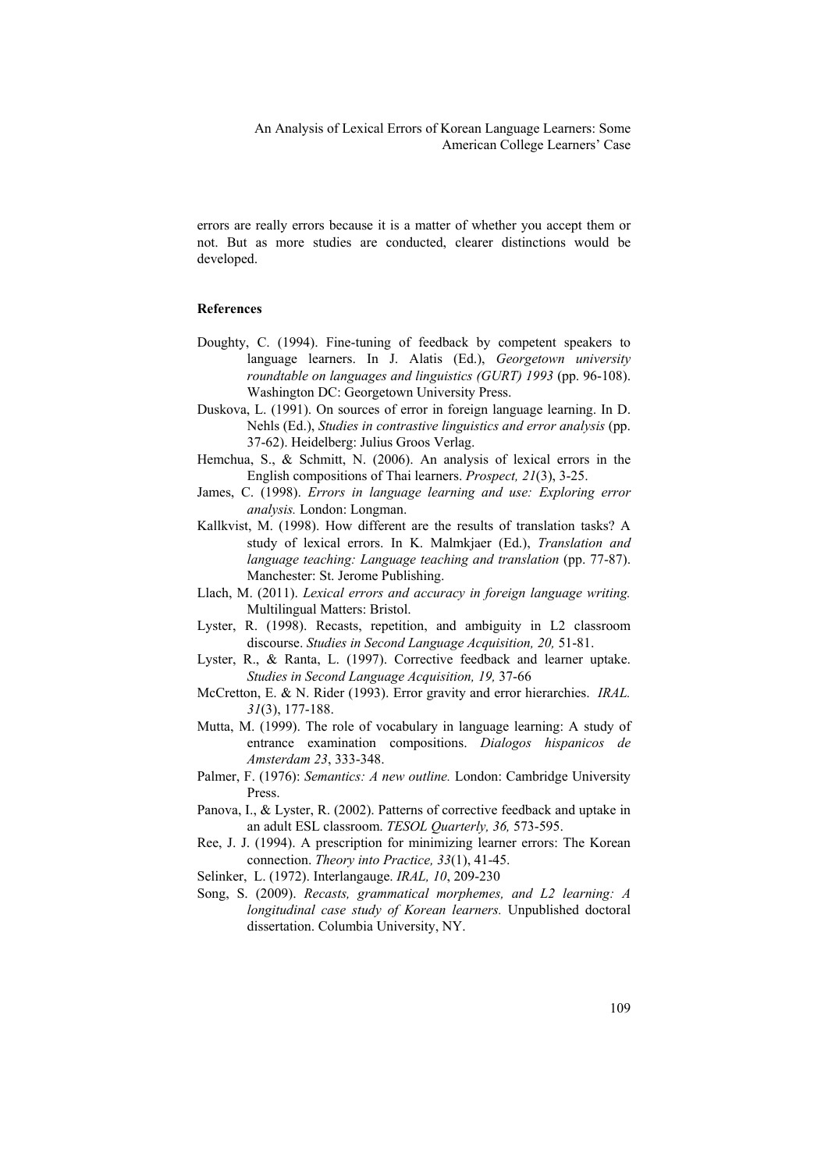errors are really errors because it is a matter of whether you accept them or not. But as more studies are conducted, clearer distinctions would be developed.

## **References**

- Doughty, C. (1994). Fine-tuning of feedback by competent speakers to language learners. In J. Alatis (Ed.), *Georgetown university roundtable on languages and linguistics (GURT) 1993* (pp. 96-108). Washington DC: Georgetown University Press.
- Duskova, L. (1991). On sources of error in foreign language learning. In D. Nehls (Ed.), *Studies in contrastive linguistics and error analysis* (pp. 37-62). Heidelberg: Julius Groos Verlag.
- Hemchua, S., & Schmitt, N. (2006). An analysis of lexical errors in the English compositions of Thai learners. *Prospect, 21*(3), 3-25.
- James, C. (1998). *Errors in language learning and use: Exploring error analysis.* London: Longman.
- Kallkvist, M. (1998). How different are the results of translation tasks? A study of lexical errors. In K. Malmkjaer (Ed.), *Translation and language teaching: Language teaching and translation* (pp. 77-87). Manchester: St. Jerome Publishing.
- Llach, M. (2011). *Lexical errors and accuracy in foreign language writing.* Multilingual Matters: Bristol.
- Lyster, R. (1998). Recasts, repetition, and ambiguity in L2 classroom discourse. *Studies in Second Language Acquisition, 20,* 51-81.
- Lyster, R., & Ranta, L. (1997). Corrective feedback and learner uptake. *Studies in Second Language Acquisition, 19,* 37-66
- McCretton, E. & N. Rider (1993). Error gravity and error hierarchies. *IRAL. 31*(3), 177-188.
- Mutta, M. (1999). The role of vocabulary in language learning: A study of entrance examination compositions. *Dialogos hispanicos de Amsterdam 23*, 333-348.
- Palmer, F. (1976): *Semantics: A new outline.* London: Cambridge University Press.
- Panova, I., & Lyster, R. (2002). Patterns of corrective feedback and uptake in an adult ESL classroom. *TESOL Quarterly, 36,* 573-595.
- Ree, J. J. (1994). A prescription for minimizing learner errors: The Korean connection. *Theory into Practice, 33*(1), 41-45.
- Selinker, L. (1972). Interlangauge. *IRAL, 10*, 209-230
- Song, S. (2009). *Recasts, grammatical morphemes, and L2 learning: A longitudinal case study of Korean learners.* Unpublished doctoral dissertation. Columbia University, NY.